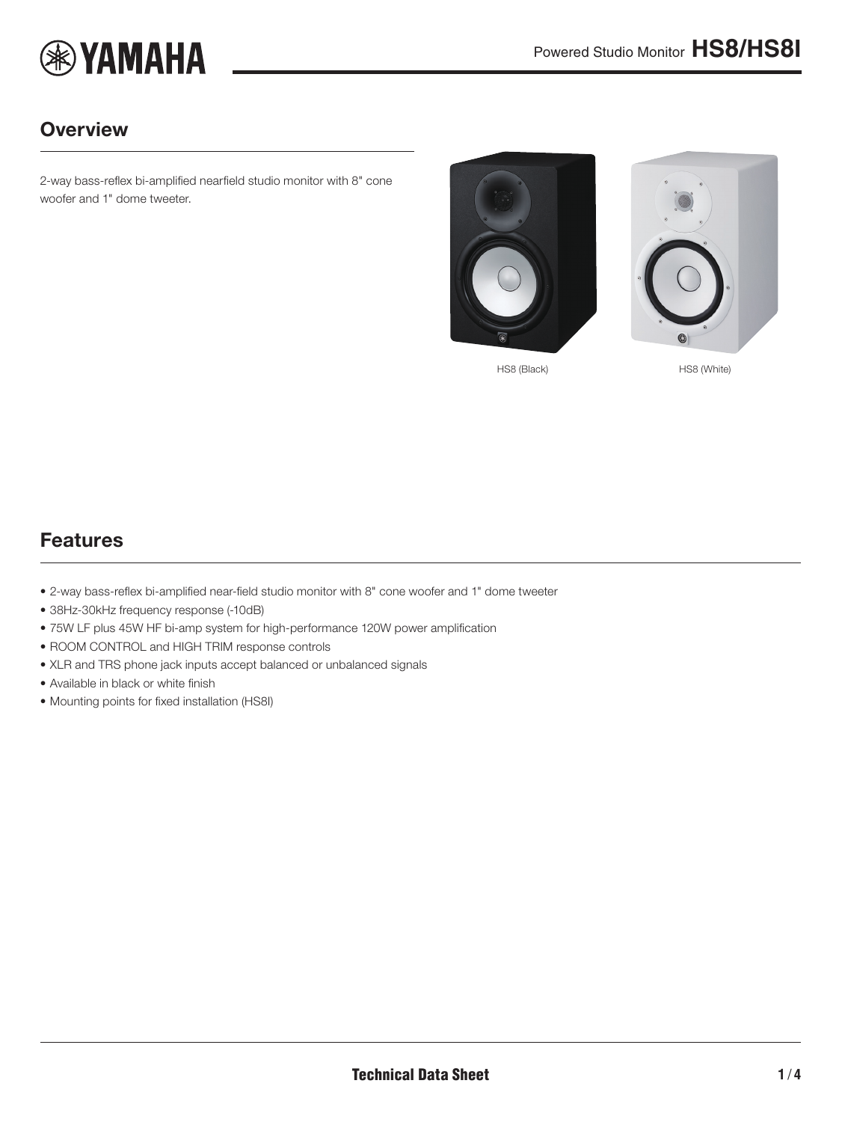

## **Overview**

2-way bass-reflex bi-amplified nearfield studio monitor with 8" cone woofer and 1" dome tweeter.



<span id="page-0-0"></span>

HS8 (Black) HS8 (White)

#### Features

- 2-way bass-reflex bi-amplified near-field studio monitor with 8" cone woofer and 1" dome tweeter
- 38Hz-30kHz frequency response (-10dB)
- 75W LF plus 45W HF bi-amp system for high-performance 120W power amplification
- ROOM CONTROL and HIGH TRIM response controls
- XLR and TRS phone jack inputs accept balanced or unbalanced signals
- Available in black or white finish
- Mounting points for fixed installation (HS8I)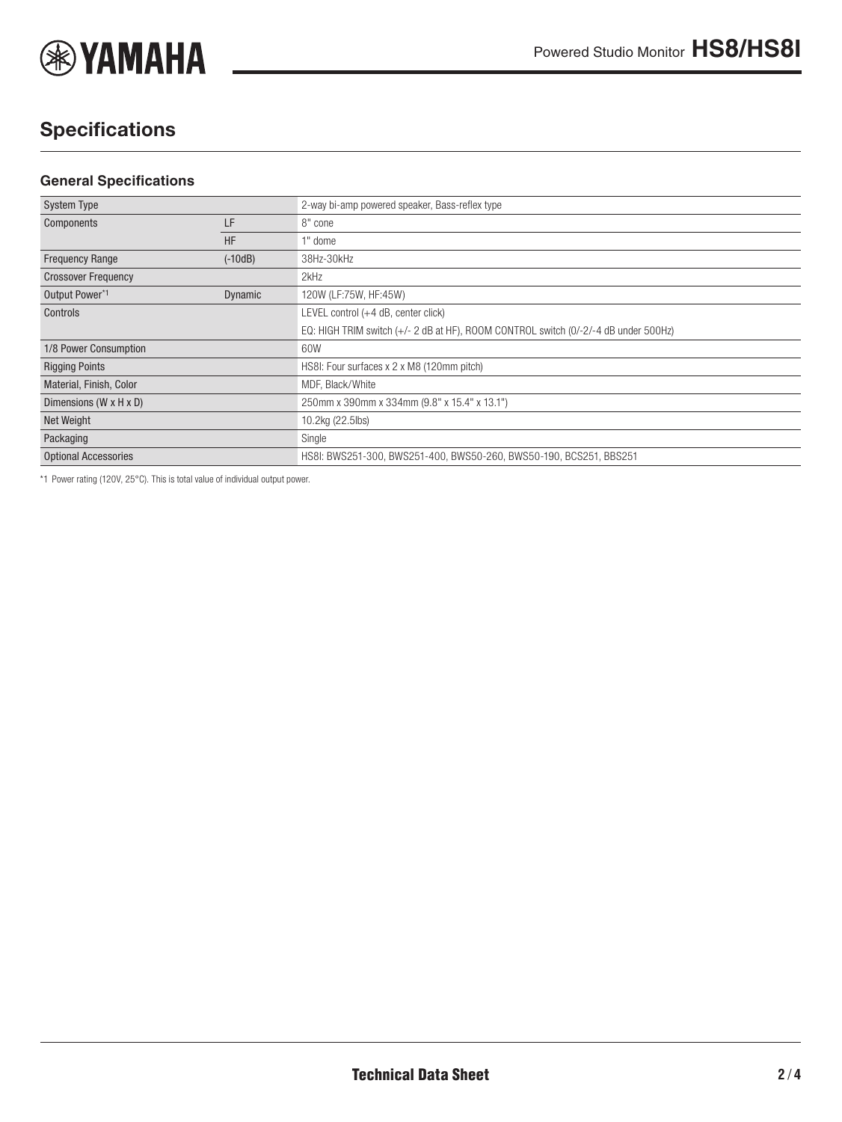

# **Specifications**

#### **General Specifications**

| <b>System Type</b>                   |                | 2-way bi-amp powered speaker, Bass-reflex type                                      |
|--------------------------------------|----------------|-------------------------------------------------------------------------------------|
| Components                           | LF             | 8" cone                                                                             |
|                                      | <b>HF</b>      | 1" dome                                                                             |
| <b>Frequency Range</b>               | $(-10dB)$      | 38Hz-30kHz                                                                          |
| <b>Crossover Frequency</b>           |                | 2kHz                                                                                |
| Output Power*1                       | <b>Dynamic</b> | 120W (LF:75W, HF:45W)                                                               |
| Controls                             |                | LEVEL control (+4 dB, center click)                                                 |
|                                      |                | EQ: HIGH TRIM switch (+/- 2 dB at HF), ROOM CONTROL switch (0/-2/-4 dB under 500Hz) |
| 1/8 Power Consumption                |                | 60W                                                                                 |
| <b>Rigging Points</b>                |                | HS8I: Four surfaces x 2 x M8 (120mm pitch)                                          |
| Material, Finish, Color              |                | MDF, Black/White                                                                    |
| Dimensions ( $W \times H \times D$ ) |                | 250mm x 390mm x 334mm (9.8" x 15.4" x 13.1")                                        |
| Net Weight                           |                | 10.2kg (22.5lbs)                                                                    |
| Packaging                            |                | Single                                                                              |
| <b>Optional Accessories</b>          |                | HS8I: BWS251-300, BWS251-400, BWS50-260, BWS50-190, BCS251, BBS251                  |
|                                      |                |                                                                                     |

\*1 Power rating (120V, 25°C). This is total value of individual output power.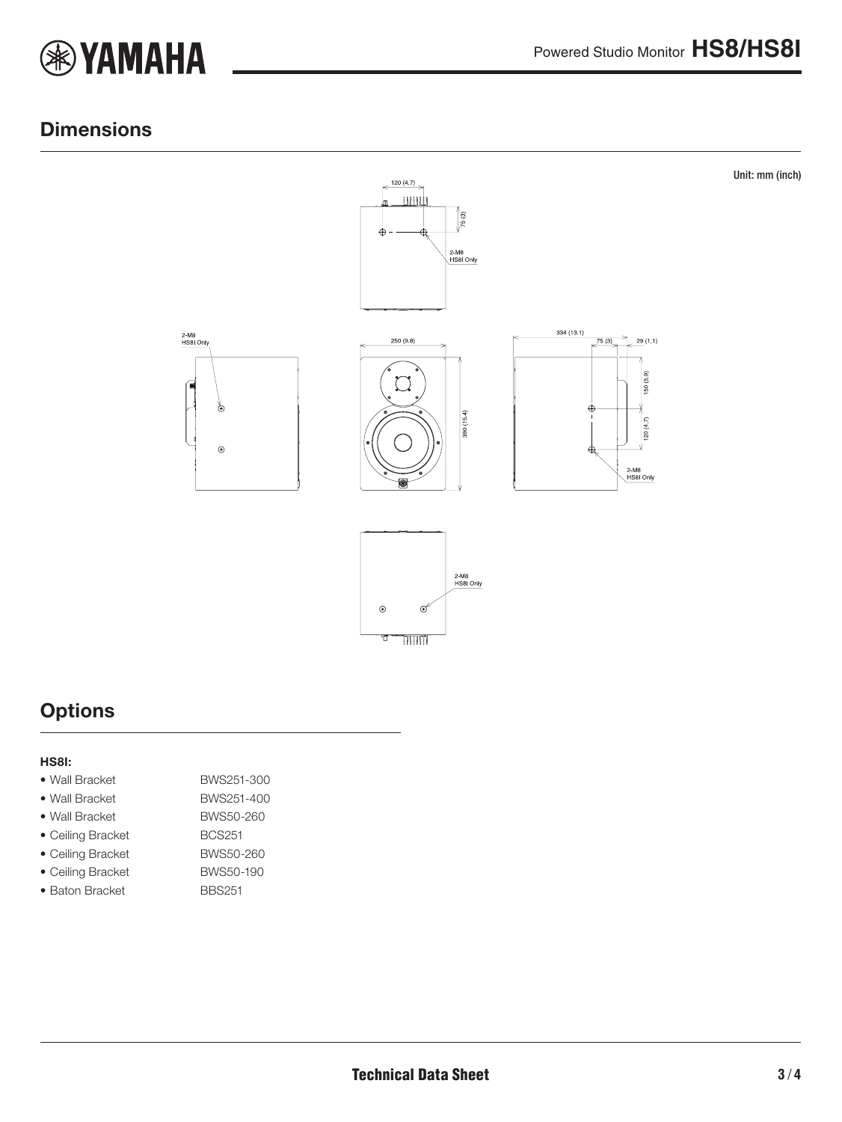

#### **Dimensions**



### **Options**

#### HS8I:

- Wall Bracket BWS251-300
- Wall Bracket BWS251-400
- 
- Ceiling Bracket BCS251
- Ceiling Bracket BWS50-260
- Ceiling Bracket BWS50-190
- Baton Bracket BBS251
- Wall Bracket BWS50-260